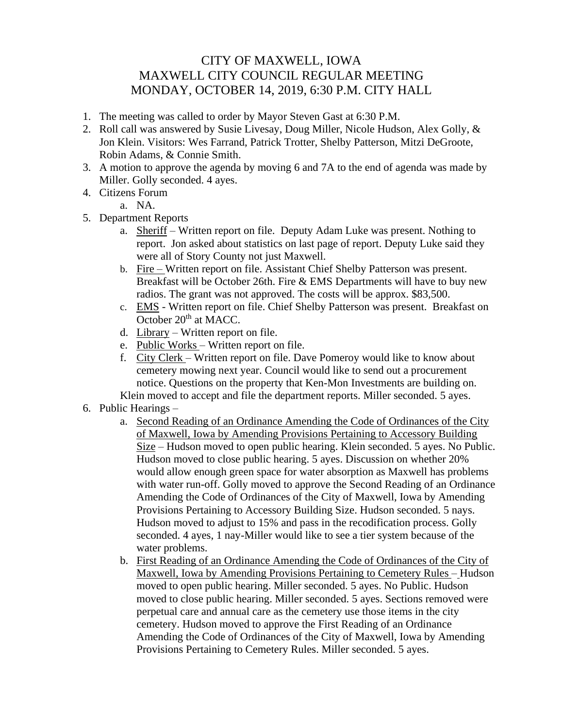## CITY OF MAXWELL, IOWA MAXWELL CITY COUNCIL REGULAR MEETING MONDAY, OCTOBER 14, 2019, 6:30 P.M. CITY HALL

- 1. The meeting was called to order by Mayor Steven Gast at 6:30 P.M.
- 2. Roll call was answered by Susie Livesay, Doug Miller, Nicole Hudson, Alex Golly, & Jon Klein. Visitors: Wes Farrand, Patrick Trotter, Shelby Patterson, Mitzi DeGroote, Robin Adams, & Connie Smith.
- 3. A motion to approve the agenda by moving 6 and 7A to the end of agenda was made by Miller. Golly seconded. 4 ayes.
- 4. Citizens Forum
	- a. NA.
- 5. Department Reports
	- a. Sheriff Written report on file. Deputy Adam Luke was present. Nothing to report. Jon asked about statistics on last page of report. Deputy Luke said they were all of Story County not just Maxwell.
	- b. Fire Written report on file. Assistant Chief Shelby Patterson was present. Breakfast will be October 26th. Fire & EMS Departments will have to buy new radios. The grant was not approved. The costs will be approx. \$83,500.
	- c. EMS Written report on file. Chief Shelby Patterson was present. Breakfast on October 20<sup>th</sup> at MACC.
	- d. Library Written report on file.
	- e. Public Works Written report on file.
	- f. City Clerk Written report on file. Dave Pomeroy would like to know about cemetery mowing next year. Council would like to send out a procurement notice. Questions on the property that Ken-Mon Investments are building on.
	- Klein moved to accept and file the department reports. Miller seconded. 5 ayes.
- 6. Public Hearings
	- a. Second Reading of an Ordinance Amending the Code of Ordinances of the City of Maxwell, Iowa by Amending Provisions Pertaining to Accessory Building Size – Hudson moved to open public hearing. Klein seconded. 5 ayes. No Public. Hudson moved to close public hearing. 5 ayes. Discussion on whether 20% would allow enough green space for water absorption as Maxwell has problems with water run-off. Golly moved to approve the Second Reading of an Ordinance Amending the Code of Ordinances of the City of Maxwell, Iowa by Amending Provisions Pertaining to Accessory Building Size. Hudson seconded. 5 nays. Hudson moved to adjust to 15% and pass in the recodification process. Golly seconded. 4 ayes, 1 nay-Miller would like to see a tier system because of the water problems.
	- b. First Reading of an Ordinance Amending the Code of Ordinances of the City of Maxwell, Iowa by Amending Provisions Pertaining to Cemetery Rules – Hudson moved to open public hearing. Miller seconded. 5 ayes. No Public. Hudson moved to close public hearing. Miller seconded. 5 ayes. Sections removed were perpetual care and annual care as the cemetery use those items in the city cemetery. Hudson moved to approve the First Reading of an Ordinance Amending the Code of Ordinances of the City of Maxwell, Iowa by Amending Provisions Pertaining to Cemetery Rules. Miller seconded. 5 ayes.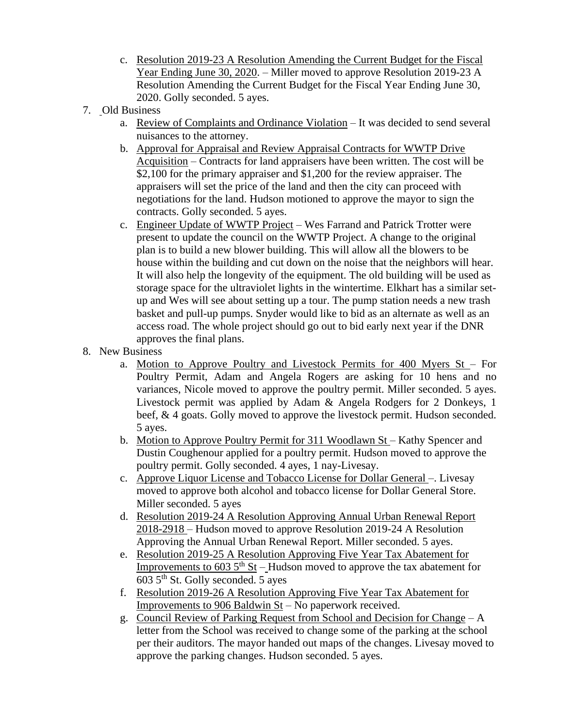- c. Resolution 2019-23 A Resolution Amending the Current Budget for the Fiscal Year Ending June 30, 2020. – Miller moved to approve Resolution 2019-23 A Resolution Amending the Current Budget for the Fiscal Year Ending June 30, 2020. Golly seconded. 5 ayes.
- 7. Old Business
	- a. Review of Complaints and Ordinance Violation It was decided to send several nuisances to the attorney.
	- b. Approval for Appraisal and Review Appraisal Contracts for WWTP Drive Acquisition – Contracts for land appraisers have been written. The cost will be \$2,100 for the primary appraiser and \$1,200 for the review appraiser. The appraisers will set the price of the land and then the city can proceed with negotiations for the land. Hudson motioned to approve the mayor to sign the contracts. Golly seconded. 5 ayes.
	- c. Engineer Update of WWTP Project Wes Farrand and Patrick Trotter were present to update the council on the WWTP Project. A change to the original plan is to build a new blower building. This will allow all the blowers to be house within the building and cut down on the noise that the neighbors will hear. It will also help the longevity of the equipment. The old building will be used as storage space for the ultraviolet lights in the wintertime. Elkhart has a similar setup and Wes will see about setting up a tour. The pump station needs a new trash basket and pull-up pumps. Snyder would like to bid as an alternate as well as an access road. The whole project should go out to bid early next year if the DNR approves the final plans.
- 8. New Business
	- a. Motion to Approve Poultry and Livestock Permits for 400 Myers St For Poultry Permit, Adam and Angela Rogers are asking for 10 hens and no variances, Nicole moved to approve the poultry permit. Miller seconded. 5 ayes. Livestock permit was applied by Adam & Angela Rodgers for 2 Donkeys, 1 beef, & 4 goats. Golly moved to approve the livestock permit. Hudson seconded. 5 ayes.
	- b. Motion to Approve Poultry Permit for 311 Woodlawn St Kathy Spencer and Dustin Coughenour applied for a poultry permit. Hudson moved to approve the poultry permit. Golly seconded. 4 ayes, 1 nay-Livesay.
	- c. Approve Liquor License and Tobacco License for Dollar General –. Livesay moved to approve both alcohol and tobacco license for Dollar General Store. Miller seconded. 5 ayes
	- d. Resolution 2019-24 A Resolution Approving Annual Urban Renewal Report 2018-2918 – Hudson moved to approve Resolution 2019-24 A Resolution Approving the Annual Urban Renewal Report. Miller seconded. 5 ayes.
	- e. Resolution 2019-25 A Resolution Approving Five Year Tax Abatement for Improvements to 603  $5<sup>th</sup>$  St – Hudson moved to approve the tax abatement for 603 5th St. Golly seconded. 5 ayes
	- f. Resolution 2019-26 A Resolution Approving Five Year Tax Abatement for Improvements to 906 Baldwin  $St$  – No paperwork received.
	- g. Council Review of Parking Request from School and Decision for Change A letter from the School was received to change some of the parking at the school per their auditors. The mayor handed out maps of the changes. Livesay moved to approve the parking changes. Hudson seconded. 5 ayes.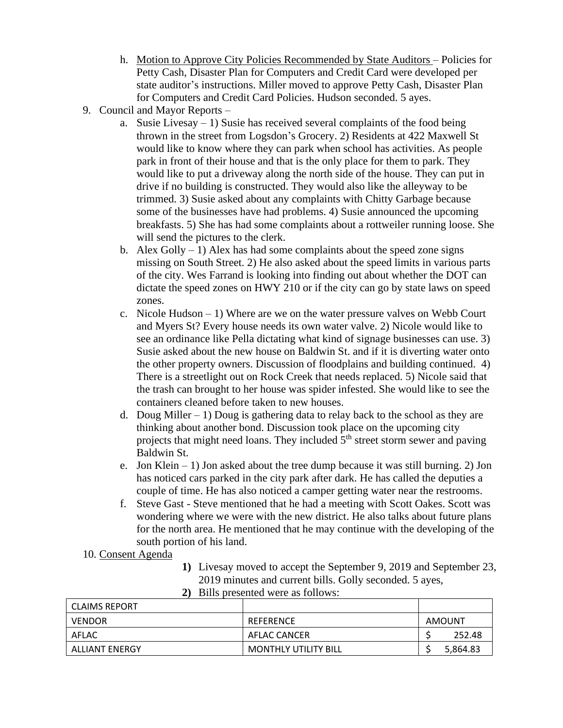- h. Motion to Approve City Policies Recommended by State Auditors Policies for Petty Cash, Disaster Plan for Computers and Credit Card were developed per state auditor's instructions. Miller moved to approve Petty Cash, Disaster Plan for Computers and Credit Card Policies. Hudson seconded. 5 ayes.
- 9. Council and Mayor Reports
	- a. Susie Livesay 1) Susie has received several complaints of the food being thrown in the street from Logsdon's Grocery. 2) Residents at 422 Maxwell St would like to know where they can park when school has activities. As people park in front of their house and that is the only place for them to park. They would like to put a driveway along the north side of the house. They can put in drive if no building is constructed. They would also like the alleyway to be trimmed. 3) Susie asked about any complaints with Chitty Garbage because some of the businesses have had problems. 4) Susie announced the upcoming breakfasts. 5) She has had some complaints about a rottweiler running loose. She will send the pictures to the clerk.
	- b. Alex Golly  $-1$ ) Alex has had some complaints about the speed zone signs missing on South Street. 2) He also asked about the speed limits in various parts of the city. Wes Farrand is looking into finding out about whether the DOT can dictate the speed zones on HWY 210 or if the city can go by state laws on speed zones.
	- c. Nicole Hudson 1) Where are we on the water pressure valves on Webb Court and Myers St? Every house needs its own water valve. 2) Nicole would like to see an ordinance like Pella dictating what kind of signage businesses can use. 3) Susie asked about the new house on Baldwin St. and if it is diverting water onto the other property owners. Discussion of floodplains and building continued. 4) There is a streetlight out on Rock Creek that needs replaced. 5) Nicole said that the trash can brought to her house was spider infested. She would like to see the containers cleaned before taken to new houses.
	- d. Doug Miller  $-1$ ) Doug is gathering data to relay back to the school as they are thinking about another bond. Discussion took place on the upcoming city projects that might need loans. They included  $5<sup>th</sup>$  street storm sewer and paving Baldwin St.
	- e. Jon Klein 1) Jon asked about the tree dump because it was still burning. 2) Jon has noticed cars parked in the city park after dark. He has called the deputies a couple of time. He has also noticed a camper getting water near the restrooms.
	- f. Steve Gast Steve mentioned that he had a meeting with Scott Oakes. Scott was wondering where we were with the new district. He also talks about future plans for the north area. He mentioned that he may continue with the developing of the south portion of his land.
- 10. Consent Agenda
- **1)** Livesay moved to accept the September 9, 2019 and September 23, 2019 minutes and current bills. Golly seconded. 5 ayes,

| LCLAIMS REPORT |                             |          |
|----------------|-----------------------------|----------|
| VENDOR         | REFERENCE                   | AMOUNT   |
| AFLAC          | AFLAC CANCER                | 252.48   |
| ALLIANT ENERGY | <b>MONTHLY UTILITY BILL</b> | 5,864.83 |

**2)** Bills presented were as follows: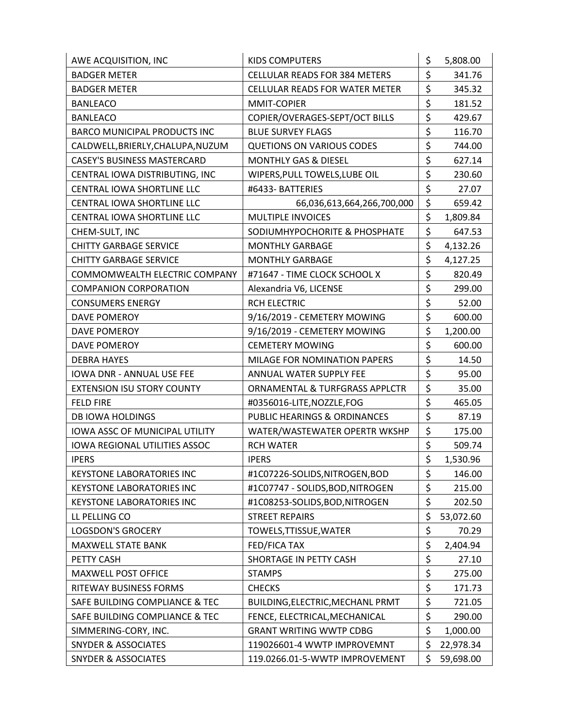| AWE ACQUISITION, INC                  | KIDS COMPUTERS                       |    | 5,808.00  |
|---------------------------------------|--------------------------------------|----|-----------|
| <b>BADGER METER</b>                   | <b>CELLULAR READS FOR 384 METERS</b> |    | 341.76    |
| <b>BADGER METER</b>                   | CELLULAR READS FOR WATER METER       | \$ | 345.32    |
| <b>BANLEACO</b>                       | MMIT-COPIER                          |    | 181.52    |
| <b>BANLEACO</b>                       | COPIER/OVERAGES-SEPT/OCT BILLS       | \$ | 429.67    |
| <b>BARCO MUNICIPAL PRODUCTS INC</b>   | <b>BLUE SURVEY FLAGS</b>             | \$ | 116.70    |
| CALDWELL, BRIERLY, CHALUPA, NUZUM     | <b>QUETIONS ON VARIOUS CODES</b>     | \$ | 744.00    |
| <b>CASEY'S BUSINESS MASTERCARD</b>    | <b>MONTHLY GAS &amp; DIESEL</b>      | \$ | 627.14    |
| CENTRAL IOWA DISTRIBUTING, INC        | WIPERS, PULL TOWELS, LUBE OIL        | \$ | 230.60    |
| CENTRAL IOWA SHORTLINE LLC            | #6433-BATTERIES                      | \$ | 27.07     |
| CENTRAL IOWA SHORTLINE LLC            | 66,036,613,664,266,700,000           | \$ | 659.42    |
| CENTRAL IOWA SHORTLINE LLC            | MULTIPLE INVOICES                    | \$ | 1,809.84  |
| CHEM-SULT, INC                        | SODIUMHYPOCHORITE & PHOSPHATE        | \$ | 647.53    |
| <b>CHITTY GARBAGE SERVICE</b>         | <b>MONTHLY GARBAGE</b>               | \$ | 4,132.26  |
| <b>CHITTY GARBAGE SERVICE</b>         | <b>MONTHLY GARBAGE</b>               | \$ | 4,127.25  |
| COMMOMWEALTH ELECTRIC COMPANY         | #71647 - TIME CLOCK SCHOOL X         | \$ | 820.49    |
| <b>COMPANION CORPORATION</b>          | Alexandria V6, LICENSE               | \$ | 299.00    |
| <b>CONSUMERS ENERGY</b>               | <b>RCH ELECTRIC</b>                  | \$ | 52.00     |
| DAVE POMEROY                          | 9/16/2019 - CEMETERY MOWING          | \$ | 600.00    |
| <b>DAVE POMEROY</b>                   | 9/16/2019 - CEMETERY MOWING          | \$ | 1,200.00  |
| DAVE POMEROY                          | <b>CEMETERY MOWING</b>               | \$ | 600.00    |
| <b>DEBRA HAYES</b>                    | MILAGE FOR NOMINATION PAPERS         | \$ | 14.50     |
| IOWA DNR - ANNUAL USE FEE             | ANNUAL WATER SUPPLY FEE              | \$ | 95.00     |
| <b>EXTENSION ISU STORY COUNTY</b>     | ORNAMENTAL & TURFGRASS APPLCTR       | \$ | 35.00     |
| <b>FELD FIRE</b>                      | #0356016-LITE, NOZZLE, FOG           | \$ | 465.05    |
| <b>DB IOWA HOLDINGS</b>               | PUBLIC HEARINGS & ORDINANCES         | \$ | 87.19     |
| <b>IOWA ASSC OF MUNICIPAL UTILITY</b> | WATER/WASTEWATER OPERTR WKSHP        |    | 175.00    |
| <b>IOWA REGIONAL UTILITIES ASSOC</b>  | <b>RCH WATER</b>                     | \$ | 509.74    |
| <b>IPERS</b>                          | <b>IPERS</b>                         | \$ | 1,530.96  |
| <b>KEYSTONE LABORATORIES INC</b>      | #1C07226-SOLIDS,NITROGEN,BOD         | \$ | 146.00    |
| <b>KEYSTONE LABORATORIES INC</b>      | #1C07747 - SOLIDS, BOD, NITROGEN     | \$ | 215.00    |
| <b>KEYSTONE LABORATORIES INC</b>      | #1C08253-SOLIDS, BOD, NITROGEN       | \$ | 202.50    |
| LL PELLING CO                         | <b>STREET REPAIRS</b>                | \$ | 53,072.60 |
| <b>LOGSDON'S GROCERY</b>              | TOWELS, TTISSUE, WATER               | \$ | 70.29     |
| <b>MAXWELL STATE BANK</b>             | FED/FICA TAX                         | \$ | 2,404.94  |
| PETTY CASH                            | SHORTAGE IN PETTY CASH               | \$ | 27.10     |
| MAXWELL POST OFFICE                   | <b>STAMPS</b>                        | \$ | 275.00    |
| RITEWAY BUSINESS FORMS                | <b>CHECKS</b>                        | \$ | 171.73    |
| SAFE BUILDING COMPLIANCE & TEC        | BUILDING, ELECTRIC, MECHANL PRMT     | \$ | 721.05    |
| SAFE BUILDING COMPLIANCE & TEC        | FENCE, ELECTRICAL, MECHANICAL        | \$ | 290.00    |
| SIMMERING-CORY, INC.                  | <b>GRANT WRITING WWTP CDBG</b>       | \$ | 1,000.00  |
| <b>SNYDER &amp; ASSOCIATES</b>        | 119026601-4 WWTP IMPROVEMNT          |    | 22,978.34 |
| <b>SNYDER &amp; ASSOCIATES</b>        | 119.0266.01-5-WWTP IMPROVEMENT       | \$ | 59,698.00 |